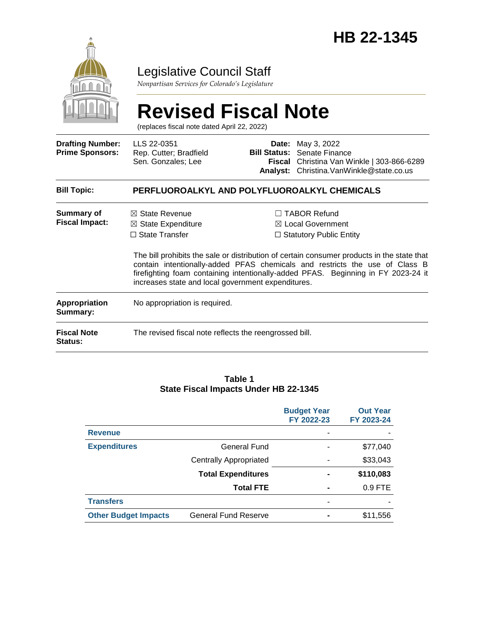

## Legislative Council Staff

*Nonpartisan Services for Colorado's Legislature*

#### **Revised Fiscal Note** (replaces fiscal note dated April 22, 2022) **Drafting Number: Prime Sponsors:** LLS 22-0351 Rep. Cutter; Bradfield Sen. Gonzales; Lee **Date:** May 3, 2022 **Bill Status:** Senate Finance **Fiscal**  Christina Van Winkle | 303-866-6289 **Analyst:** Christina.VanWinkle@state.co.us **Bill Topic: PERFLUOROALKYL AND POLYFLUOROALKYL CHEMICALS Summary of Fiscal Impact:** ☒ State Revenue ☒ State Expenditure ☐ State Transfer ☐ TABOR Refund ☒ Local Government □ Statutory Public Entity The bill prohibits the sale or distribution of certain consumer products in the state that contain intentionally-added PFAS chemicals and restricts the use of Class B firefighting foam containing intentionally-added PFAS. Beginning in FY 2023-24 it increases state and local government expenditures. **Appropriation Summary:** No appropriation is required. **Fiscal Note Status:** The revised fiscal note reflects the reengrossed bill.

#### **Table 1 State Fiscal Impacts Under HB 22-1345**

|                             |                               | <b>Budget Year</b><br>FY 2022-23 | <b>Out Year</b><br>FY 2023-24 |
|-----------------------------|-------------------------------|----------------------------------|-------------------------------|
| <b>Revenue</b>              |                               |                                  |                               |
| <b>Expenditures</b>         | <b>General Fund</b>           |                                  | \$77,040                      |
|                             | <b>Centrally Appropriated</b> |                                  | \$33,043                      |
|                             | <b>Total Expenditures</b>     |                                  | \$110,083                     |
|                             | <b>Total FTE</b>              | -                                | 0.9 FTE                       |
| <b>Transfers</b>            |                               |                                  |                               |
| <b>Other Budget Impacts</b> | <b>General Fund Reserve</b>   |                                  | \$11,556                      |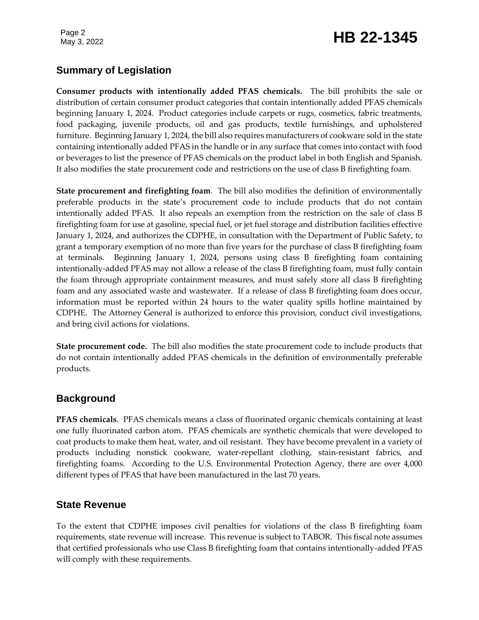# Page 2<br>May 3, 2022 **HB 22-1345**

## **Summary of Legislation**

**Consumer products with intentionally added PFAS chemicals.** The bill prohibits the sale or distribution of certain consumer product categories that contain intentionally added PFAS chemicals beginning January 1, 2024. Product categories include carpets or rugs, cosmetics, fabric treatments, food packaging, juvenile products, oil and gas products, textile furnishings, and upholstered furniture. Beginning January 1, 2024, the bill also requires manufacturers of cookware sold in the state containing intentionally added PFAS in the handle or in any surface that comes into contact with food or beverages to list the presence of PFAS chemicals on the product label in both English and Spanish. It also modifies the state procurement code and restrictions on the use of class B firefighting foam.

**State procurement and firefighting foam**. The bill also modifies the definition of environmentally preferable products in the state's procurement code to include products that do not contain intentionally added PFAS. It also repeals an exemption from the restriction on the sale of class B firefighting foam for use at gasoline, special fuel, or jet fuel storage and distribution facilities effective January 1, 2024, and authorizes the CDPHE, in consultation with the Department of Public Safety, to grant a temporary exemption of no more than five years for the purchase of class B firefighting foam at terminals. Beginning January 1, 2024, persons using class B firefighting foam containing intentionally-added PFAS may not allow a release of the class B firefighting foam, must fully contain the foam through appropriate containment measures, and must safely store all class B firefighting foam and any associated waste and wastewater. If a release of class B firefighting foam does occur, information must be reported within 24 hours to the water quality spills hotline maintained by CDPHE. The Attorney General is authorized to enforce this provision, conduct civil investigations, and bring civil actions for violations.

**State procurement code.** The bill also modifies the state procurement code to include products that do not contain intentionally added PFAS chemicals in the definition of environmentally preferable products.

#### **Background**

**PFAS chemicals**. PFAS chemicals means a class of fluorinated organic chemicals containing at least one fully fluorinated carbon atom. PFAS chemicals are synthetic chemicals that were developed to coat products to make them heat, water, and oil resistant. They have become prevalent in a variety of products including nonstick cookware, water-repellant clothing, stain-resistant fabrics, and firefighting foams. According to the U.S. Environmental Protection Agency, there are over 4,000 different types of PFAS that have been manufactured in the last 70 years.

#### **State Revenue**

To the extent that CDPHE imposes civil penalties for violations of the class B firefighting foam requirements, state revenue will increase. This revenue is subject to TABOR. This fiscal note assumes that certified professionals who use Class B firefighting foam that contains intentionally-added PFAS will comply with these requirements.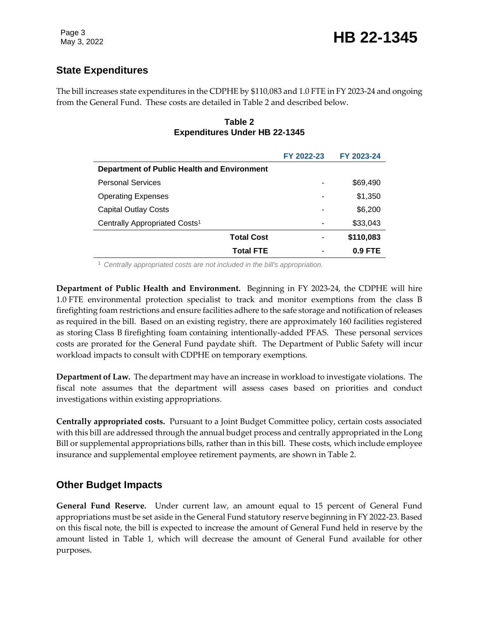## **State Expenditures**

The bill increases state expenditures in the CDPHE by \$110,083 and 1.0 FTE in FY 2023-24 and ongoing from the General Fund. These costs are detailed in Table 2 and described below.

#### **Table 2 Expenditures Under HB 22-1345**

|                                             | FY 2022-23 | FY 2023-24 |  |  |
|---------------------------------------------|------------|------------|--|--|
| Department of Public Health and Environment |            |            |  |  |
| <b>Personal Services</b>                    |            | \$69,490   |  |  |
| <b>Operating Expenses</b>                   |            | \$1,350    |  |  |
| <b>Capital Outlay Costs</b>                 |            | \$6,200    |  |  |
| Centrally Appropriated Costs <sup>1</sup>   |            | \$33,043   |  |  |
| <b>Total Cost</b>                           |            | \$110,083  |  |  |
| <b>Total FTE</b>                            |            | $0.9$ FTE  |  |  |

<sup>1</sup> *Centrally appropriated costs are not included in the bill's appropriation.*

**Department of Public Health and Environment.** Beginning in FY 2023-24, the CDPHE will hire 1.0 FTE environmental protection specialist to track and monitor exemptions from the class B firefighting foam restrictions and ensure facilities adhere to the safe storage and notification of releases as required in the bill. Based on an existing registry, there are approximately 160 facilities registered as storing Class B firefighting foam containing intentionally-added PFAS. These personal services costs are prorated for the General Fund paydate shift. The Department of Public Safety will incur workload impacts to consult with CDPHE on temporary exemptions.

**Department of Law.** The department may have an increase in workload to investigate violations. The fiscal note assumes that the department will assess cases based on priorities and conduct investigations within existing appropriations.

**Centrally appropriated costs.** Pursuant to a Joint Budget Committee policy, certain costs associated with this bill are addressed through the annual budget process and centrally appropriated in the Long Bill or supplemental appropriations bills, rather than in this bill. These costs, which include employee insurance and supplemental employee retirement payments, are shown in Table 2.

### **Other Budget Impacts**

**General Fund Reserve.** Under current law, an amount equal to 15 percent of General Fund appropriations must be set aside in the General Fund statutory reserve beginning in FY 2022-23. Based on this fiscal note, the bill is expected to increase the amount of General Fund held in reserve by the amount listed in Table 1, which will decrease the amount of General Fund available for other purposes.